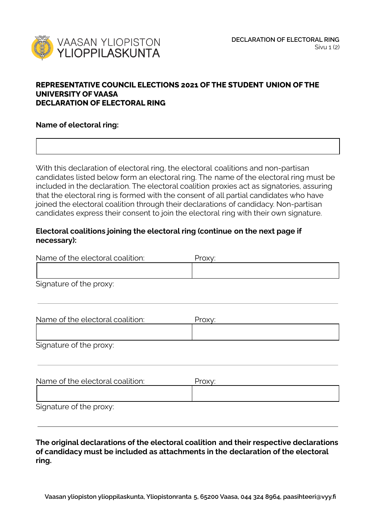

## **REPRESENTATIVE COUNCIL ELECTIONS 2021 OF THE STUDENT UNION OF THE UNIVERSITY OF VAASA DECLARATION OF ELECTORAL RING**

**Name of electoral ring:**

With this declaration of electoral ring, the electoral coalitions and non-partisan candidates listed below form an electoral ring. The name of the electoral ring must be included in the declaration. The electoral coalition proxies act as signatories, assuring that the electoral ring is formed with the consent of all partial candidates who have joined the electoral coalition through their declarations of candidacy. Non-partisan candidates express their consent to join the electoral ring with their own signature.

## **Electoral coalitions joining the electoral ring (continue on the next page if necessary):**

| Name of the electoral coalition: | Proxy: |  |
|----------------------------------|--------|--|
|                                  |        |  |
| Signature of the proxy:          |        |  |
|                                  |        |  |
| Name of the electoral coalition: | Proxy: |  |
|                                  |        |  |
| Signature of the proxy:          |        |  |

| Name of the electoral coalition: | Proxv: |
|----------------------------------|--------|
|                                  |        |
| Signature of the proxy:          |        |

**The original declarations of the electoral coalition and their respective declarations of candidacy must be included as attachments in the declaration of the electoral ring.**

**Vaasan yliopiston ylioppilaskunta, Yliopistonranta 5, 65200 Vaasa, 044 324 8964, paasihteeri@vyy.fi**